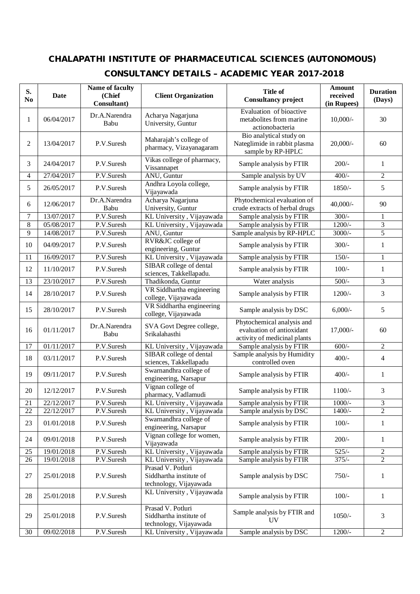## **CHALAPATHI INSTITUTE OF PHARMACEUTICAL SCIENCES (AUTONOMOUS)**

## **CONSULTANCY DETAILS – ACADEMIC YEAR 2017-2018**

| S.<br>N <sub>0</sub> | Date       | Name of faculty<br>(Chief<br>Consultant) | <b>Client Organization</b>                                             | <b>Title of</b><br><b>Consultancy project</b>                                           | <b>Amount</b><br>received<br>(in Rupees) | <b>Duration</b><br>(Days) |
|----------------------|------------|------------------------------------------|------------------------------------------------------------------------|-----------------------------------------------------------------------------------------|------------------------------------------|---------------------------|
| 1                    | 06/04/2017 | Dr.A.Narendra<br>Babu                    | Acharya Nagarjuna<br>University, Guntur                                | Evaluation of bioactive<br>metabolites from marine<br>actionobacteria                   | $10,000/-$                               | 30                        |
| 2                    | 13/04/2017 | P.V.Suresh                               | Maharajah's college of<br>pharmacy, Vizayanagaram                      | Bio analytical study on<br>Nateglimide in rabbit plasma<br>sample by RP-HPLC            | $20,000/-$                               | 60                        |
| 3                    | 24/04/2017 | P.V.Suresh                               | Vikas college of pharmacy,<br>Vissannapet                              | Sample analysis by FTIR                                                                 | $200/-$                                  | $\mathbf{1}$              |
| $\overline{4}$       | 27/04/2017 | P.V.Suresh                               | ANU, Guntur                                                            | Sample analysis by UV                                                                   | $400/-$                                  | $\overline{c}$            |
| 5                    | 26/05/2017 | P.V.Suresh                               | Andhra Loyola college,<br>Vijayawada                                   | Sample analysis by FTIR                                                                 | 1850/-                                   | 5                         |
| 6                    | 12/06/2017 | Dr.A.Narendra<br>Babu                    | Acharya Nagarjuna<br>University, Guntur                                | Phytochemical evaluation of<br>crude extracts of herbal drugs                           | $40,000/$ -                              | 90                        |
| $\overline{7}$       | 13/07/2017 | P.V.Suresh                               | KL University, Vijayawada                                              | Sample analysis by FTIR                                                                 | $300/-$                                  | 1                         |
| 8                    | 05/08/2017 | P.V.Suresh                               | KL University, Vijayawada                                              | Sample analysis by FTIR                                                                 | $1200/-$                                 | 3                         |
| 9                    | 14/08/2017 | P.V.Suresh                               | ANU, Guntur                                                            | Sample analysis by RP-HPLC                                                              | $3000/-$                                 | $\overline{5}$            |
| 10                   | 04/09/2017 | P.V.Suresh                               | RVR&JC college of<br>engineering, Guntur                               | Sample analysis by FTIR                                                                 | $300/-$                                  | $\mathbf{1}$              |
| 11                   | 16/09/2017 | P.V.Suresh                               | KL University, Vijayawada                                              | Sample analysis by FTIR                                                                 | $150/-$                                  | $\mathbf{1}$              |
| 12                   | 11/10/2017 | P.V.Suresh                               | SIBAR college of dental<br>sciences, Takkellapadu.                     | Sample analysis by FTIR                                                                 | $100/-$                                  | $\mathbf{1}$              |
| 13                   | 23/10/2017 | P.V.Suresh                               | Thadikonda, Guntur                                                     | Water analysis                                                                          | $500/-$                                  | 3                         |
| 14                   | 28/10/2017 | P.V.Suresh                               | VR Siddhartha engineering<br>college, Vijayawada                       | Sample analysis by FTIR                                                                 | $1200/-$                                 | 3                         |
| 15                   | 28/10/2017 | P.V.Suresh                               | VR Siddhartha engineering<br>college, Vijayawada                       | Sample analysis by DSC                                                                  | $6,000/-$                                | 5                         |
| 16                   | 01/11/2017 | Dr.A.Narendra<br>Babu                    | SVA Govt Degree college,<br>Srikalahasthi                              | Phytochemical analysis and<br>evaluation of antioxidant<br>activity of medicinal plants | 17,000/-                                 | 60                        |
| 17                   | 01/11/2017 | P.V.Suresh                               | KL University, Vijayawada                                              | Sample analysis by FTIR                                                                 | $600/-$                                  | $\overline{c}$            |
| 18                   | 03/11/2017 | P.V.Suresh                               | SIBAR college of dental<br>sciences, Takkellapadu                      | Sample analysis by Humidity<br>controlled oven                                          | $400/-$                                  | 4                         |
| 19                   | 09/11/2017 | P.V.Suresh                               | Swarnandhra college of<br>engineering, Narsapur                        | Sample analysis by FTIR                                                                 | $400/-$                                  | $\mathbf{1}$              |
| 20                   | 12/12/2017 | P.V.Suresh                               | Vignan college of<br>pharmacy, Vadlamudi                               | Sample analysis by FTIR                                                                 | $1100/-$                                 | 3                         |
| 21                   | 22/12/2017 | P.V.Suresh                               | KL University, Vijayawada                                              | Sample analysis by FTIR                                                                 | $1000/-$                                 | 3                         |
| $22\,$               | 22/12/2017 | P.V.Suresh                               | KL University, Vijayawada                                              | Sample analysis by DSC                                                                  | $1400/-$                                 | $\overline{2}$            |
| 23                   | 01/01/2018 | P.V.Suresh                               | Swarnandhra college of<br>engineering, Narsapur                        | Sample analysis by FTIR                                                                 | $100/-$                                  | 1                         |
| 24                   | 09/01/2018 | P.V.Suresh                               | Vignan college for women,<br>Vijayawada                                | Sample analysis by FTIR                                                                 | $200/-$                                  | 1                         |
| 25                   | 19/01/2018 | P.V.Suresh                               | KL University, Vijayawada                                              | Sample analysis by FTIR                                                                 | $525/-$                                  | 2                         |
| 26                   | 19/01/2018 | P.V.Suresh                               | KL University, Vijayawada                                              | Sample analysis by FTIR                                                                 | $375/-$                                  | $\overline{2}$            |
| 27                   | 25/01/2018 | P.V.Suresh                               | Prasad V. Potluri<br>Siddhartha institute of<br>technology, Vijayawada | Sample analysis by DSC                                                                  | $750/-$                                  | 1                         |
| 28                   | 25/01/2018 | P.V.Suresh                               | KL University, Vijayawada                                              | Sample analysis by FTIR                                                                 | $100/-$                                  | $\mathbf{1}$              |
| 29                   | 25/01/2018 | P.V.Suresh                               | Prasad V. Potluri<br>Siddhartha institute of<br>technology, Vijayawada | Sample analysis by FTIR and<br>UV                                                       | $1050/-$                                 | 3                         |
| 30                   | 09/02/2018 | P.V.Suresh                               | KL University, Vijayawada                                              | Sample analysis by DSC                                                                  | $1200/-$                                 | $\overline{c}$            |